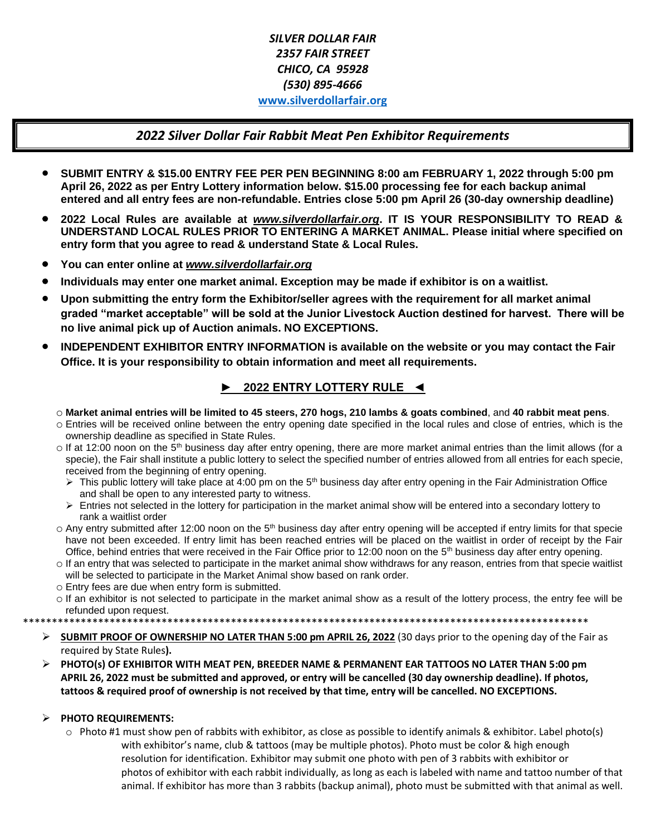# *SILVER DOLLAR FAIR 2357 FAIR STREET CHICO, CA 95928 (530) 895-4666*  **[www.silverdollarfair.org](http://www.silverdollarfair.org/)**

### *2022 Silver Dollar Fair Rabbit Meat Pen Exhibitor Requirements*

- **SUBMIT ENTRY & \$15.00 ENTRY FEE PER PEN BEGINNING 8:00 am FEBRUARY 1, 2022 through 5:00 pm April 26, 2022 as per Entry Lottery information below. \$15.00 processing fee for each backup animal entered and all entry fees are non-refundable. Entries close 5:00 pm April 26 (30-day ownership deadline)**
- **2022 Local Rules are available at** *[www.silverdollarfair.org](http://www.silverdollarfair.org/)***. IT IS YOUR RESPONSIBILITY TO READ & UNDERSTAND LOCAL RULES PRIOR TO ENTERING A MARKET ANIMAL. Please initial where specified on entry form that you agree to read & understand State & Local Rules.**
- **You can enter online at** *[www.silverdollarfair.org](http://www.silverdollarfair.org/)*
- **Individuals may enter one market animal. Exception may be made if exhibitor is on a waitlist.**
- **Upon submitting the entry form the Exhibitor/seller agrees with the requirement for all market animal graded "market acceptable" will be sold at the Junior Livestock Auction destined for harvest. There will be no live animal pick up of Auction animals. NO EXCEPTIONS.**
- **INDEPENDENT EXHIBITOR ENTRY INFORMATION is available on the website or you may contact the Fair Office. It is your responsibility to obtain information and meet all requirements.**

# **► 2022 ENTRY LOTTERY RULE ◄**

- o **Market animal entries will be limited to 45 steers, 270 hogs, 210 lambs & goats combined**, and **40 rabbit meat pens**.
- o Entries will be received online between the entry opening date specified in the local rules and close of entries, which is the ownership deadline as specified in State Rules.
- o If at 12:00 noon on the 5<sup>th</sup> business day after entry opening, there are more market animal entries than the limit allows (for a specie), the Fair shall institute a public lottery to select the specified number of entries allowed from all entries for each specie, received from the beginning of entry opening.
	- ➢ This public lottery will take place at 4:00 pm on the 5th business day after entry opening in the Fair Administration Office and shall be open to any interested party to witness.
	- ➢ Entries not selected in the lottery for participation in the market animal show will be entered into a secondary lottery to rank a waitlist order
- $\circ$  Any entry submitted after 12:00 noon on the 5<sup>th</sup> business day after entry opening will be accepted if entry limits for that specie have not been exceeded. If entry limit has been reached entries will be placed on the waitlist in order of receipt by the Fair Office, behind entries that were received in the Fair Office prior to 12:00 noon on the  $5<sup>th</sup>$  business day after entry opening.
- o If an entry that was selected to participate in the market animal show withdraws for any reason, entries from that specie waitlist will be selected to participate in the Market Animal show based on rank order.
- o Entry fees are due when entry form is submitted.
- o If an exhibitor is not selected to participate in the market animal show as a result of the lottery process, the entry fee will be refunded upon request.

\*\*\*\*\*\*\*\*\*\*\*\*\*\*\*\*\*\*\*\*\*\*\*\*\*\*\*\*\*\*\*\*\*\*\*\*\*\*\*\*\*\*\*\*\*\*\*\*\*\*\*\*\*\*\*\*\*\*\*\*\*\*\*\*\*\*\*\*\*\*\*\*\*\*\*\*\*\*\*\*\*\*\*\*\*\*\*\*\*\*\*\*\*\*\*\*\*\*

- ➢ **SUBMIT PROOF OF OWNERSHIP NO LATER THAN 5:00 pm APRIL 26, 2022** (30 days prior to the opening day of the Fair as required by State Rules**).**
- ➢ **PHOTO(s) OF EXHIBITOR WITH MEAT PEN, BREEDER NAME & PERMANENT EAR TATTOOS NO LATER THAN 5:00 pm APRIL 26, 2022 must be submitted and approved, or entry will be cancelled (30 day ownership deadline). If photos, tattoos & required proof of ownership is not received by that time, entry will be cancelled. NO EXCEPTIONS.**

### ➢ **PHOTO REQUIREMENTS:**

- $\circ$  Photo #1 must show pen of rabbits with exhibitor, as close as possible to identify animals & exhibitor. Label photo(s) with exhibitor's name, club & tattoos (may be multiple photos). Photo must be color & high enough resolution for identification. Exhibitor may submit one photo with pen of 3 rabbits with exhibitor or
	- photos of exhibitor with each rabbit individually, as long as each is labeled with name and tattoo number of that animal. If exhibitor has more than 3 rabbits (backup animal), photo must be submitted with that animal as well.